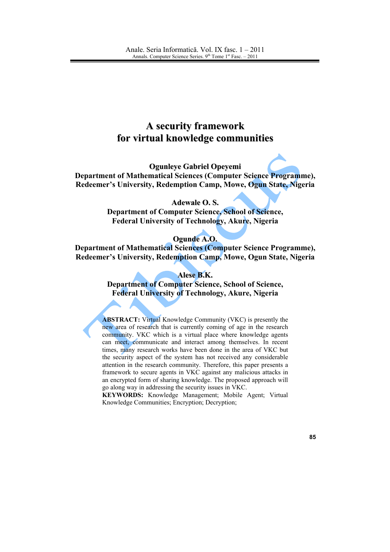# **A security framework** for virtual knowledge communities

**Ogunleye Gabriel Opeyemi** Department of Mathematical Sciences (Computer Science Programme), Redeemer's University, Redemption Camp, Mowe, Ogun State, Nigeria

#### **Adewale O.S.**

**Department of Computer Science, School of Science,** Federal University of Technology, Akure, Nigeria

#### Ogunde A.O.

Department of Mathematical Sciences (Computer Science Programme), Redeemer's University, Redemption Camp, Mowe, Ogun State, Nigeria

#### Alese B.K.

**Department of Computer Science, School of Science, Federal University of Technology, Akure, Nigeria** 

**ABSTRACT:** Virtual Knowledge Community (VKC) is presently the new area of research that is currently coming of age in the research community. VKC which is a virtual place where knowledge agents can meet, communicate and interact among themselves. In recent times, many research works have been done in the area of VKC but the security aspect of the system has not received any considerable attention in the research community. Therefore, this paper presents a framework to secure agents in VKC against any malicious attacks in an encrypted form of sharing knowledge. The proposed approach will go along way in addressing the security issues in VKC.

KEYWORDS: Knowledge Management; Mobile Agent; Virtual Knowledge Communities; Encryption; Decryption;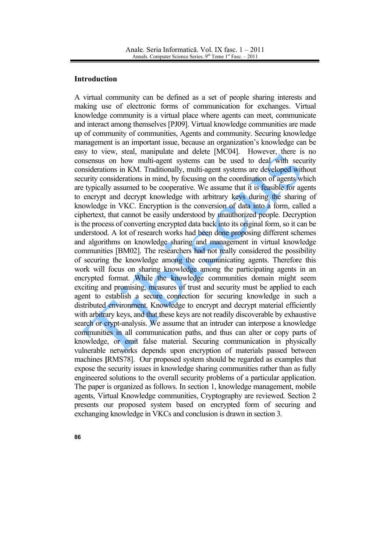#### **Introduction**

A virtual community can be defined as a set of people sharing interests and making use of electronic forms of communication for exchanges. Virtual knowledge community is a virtual place where agents can meet, communicate and interact among themselves [PJ09]. Virtual knowledge communities are made up of community of communities, Agents and community. Securing knowledge management is an important issue, because an organization's knowledge can be easy to view, steal, manipulate and delete [MC04]. However, there is no consensus on how multi-agent systems can be used to deal with security considerations in KM. Traditionally, multi-agent systems are developed without security considerations in mind, by focusing on the coordination of agents which are typically assumed to be cooperative. We assume that it is feasible for agents to encrypt and decrypt knowledge with arbitrary keys during the sharing of knowledge in VKC. Encryption is the conversion of data into a form, called a ciphertext, that cannot be easily understood by unauthorized people. Decryption is the process of converting encrypted data back into its original form, so it can be understood. A lot of research works had been done proposing different schemes and algorithms on knowledge sharing and management in virtual knowledge communities [BM02]. The researchers had not really considered the possibility of securing the knowledge among the communicating agents. Therefore this work will focus on sharing knowledge among the participating agents in an encrypted format. While the knowledge communities domain might seem exciting and promising, measures of trust and security must be applied to each agent to establish a secure connection for securing knowledge in such a distributed environment. Knowledge to encrypt and decrypt material efficiently with arbitrary keys, and that these keys are not readily discoverable by exhaustive search or crypt-analysis. We assume that an intruder can interpose a knowledge communities in all communication paths, and thus can alter or copy parts of knowledge, or emit false material. Securing communication in physically vulnerable networks depends upon encryption of materials passed between machines [RMS78]. Our proposed system should be regarded as examples that expose the security issues in knowledge sharing communities rather than as fully engineered solutions to the overall security problems of a particular application. The paper is organized as follows. In section 1, knowledge management, mobile agents, Virtual Knowledge communities, Cryptography are reviewed. Section 2 presents our proposed system based on encrypted form of securing and exchanging knowledge in VKCs and conclusion is drawn in section 3.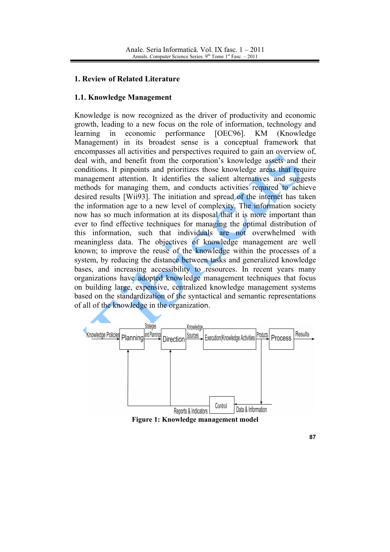## 1. Review of Related Literature

## 1.1. Knowledge Management

Knowledge is now recognized as the driver of productivity and economic growth, leading to a new focus on the role of information, technology and learning  $in$ economic performance [OEC96]. **KM** (Knowledge) Management) in its broadest sense is a conceptual framework that encompasses all activities and perspectives required to gain an overview of, deal with, and benefit from the corporation's knowledge assets and their conditions. It pinpoints and prioritizes those knowledge areas that require management attention. It identifies the salient alternatives and suggests methods for managing them, and conducts activities required to achieve desired results [Wii93]. The initiation and spread of the internet has taken the information age to a new level of complexity. The information society now has so much information at its disposal that it is more important than ever to find effective techniques for managing the optimal distribution of this information, such that individuals are not overwhelmed with meaningless data. The objectives of knowledge management are well known; to improve the reuse of the knowledge within the processes of a system, by reducing the distance between tasks and generalized knowledge bases, and increasing accessibility to resources. In recent years many organizations have adopted knowledge management techniques that focus on building large, expensive, centralized knowledge management systems based on the standardization of the syntactical and semantic representations of all of the knowledge in the organization.



Figure 1: Knowledge management model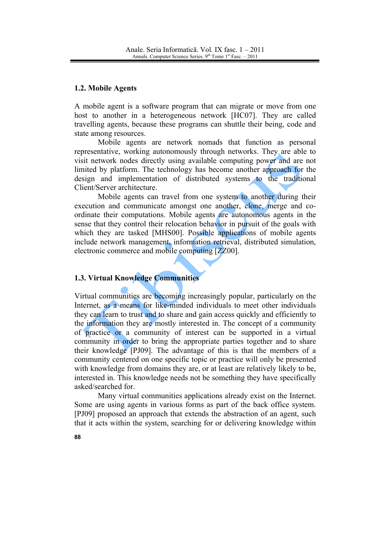#### 1.2. Mobile Agents

A mobile agent is a software program that can migrate or move from one host to another in a heterogeneous network [HC07]. They are called travelling agents, because these programs can shuttle their being, code and state among resources.

Mobile agents are network nomads that function as personal representative, working autonomously through networks. They are able to visit network nodes directly using available computing power and are not limited by platform. The technology has become another approach for the design and implementation of distributed systems to the traditional Client/Server architecture.

Mobile agents can travel from one system to another during their execution and communicate amongst one another, clone, merge and coordinate their computations. Mobile agents are autonomous agents in the sense that they control their relocation behavior in pursuit of the goals with which they are tasked [MHS00]. Possible applications of mobile agents include network management, information retrieval, distributed simulation, electronic commerce and mobile computing [ZZ00].

## **1.3. Virtual Knowledge Communities**

Virtual communities are becoming increasingly popular, particularly on the Internet, as a means for like-minded individuals to meet other individuals they can learn to trust and to share and gain access quickly and efficiently to the information they are mostly interested in. The concept of a community of practice or a community of interest can be supported in a virtual community in order to bring the appropriate parties together and to share their knowledge [PJ09]. The advantage of this is that the members of a community centered on one specific topic or practice will only be presented with knowledge from domains they are, or at least are relatively likely to be, interested in. This knowledge needs not be something they have specifically asked/searched for.

Many virtual communities applications already exist on the Internet. Some are using agents in various forms as part of the back office system. [PJ09] proposed an approach that extends the abstraction of an agent, such that it acts within the system, searching for or delivering knowledge within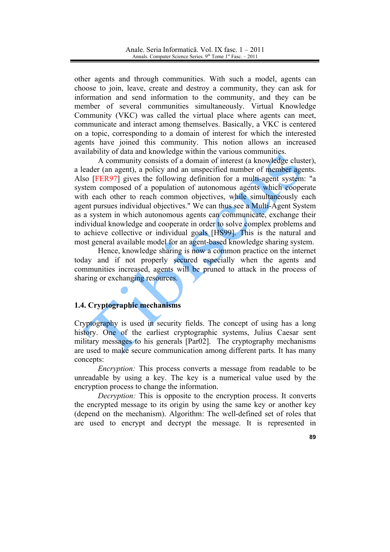other agents and through communities. With such a model, agents can choose to join, leave, create and destroy a community, they can ask for information and send information to the community, and they can be member of several communities simultaneously. Virtual Knowledge Community (VKC) was called the virtual place where agents can meet, communicate and interact among themselves. Basically, a VKC is centered on a topic, corresponding to a domain of interest for which the interested agents have joined this community. This notion allows an increased availability of data and knowledge within the various communities.

A community consists of a domain of interest (a knowledge cluster), a leader (an agent), a policy and an unspecified number of member agents. Also [FER97] gives the following definition for a multi-agent system: "a system composed of a population of autonomous agents which cooperate with each other to reach common objectives, while simultaneously each agent pursues individual objectives." We can thus see a Multi-Agent System as a system in which autonomous agents can communicate, exchange their individual knowledge and cooperate in order to solve complex problems and to achieve collective or individual goals [HS99]. This is the natural and most general available model for an agent-based knowledge sharing system.

Hence, knowledge sharing is now a common practice on the internet today and if not properly secured especially when the agents and communities increased, agents will be pruned to attack in the process of sharing or exchanging resources.

## 1.4. Cryptographic mechanisms

Cryptography is used in security fields. The concept of using has a long history. One of the earliest cryptographic systems, Julius Caesar sent military messages to his generals [Par02]. The cryptography mechanisms are used to make secure communication among different parts. It has many concepts:

*Encryption:* This process converts a message from readable to be unreadable by using a key. The key is a numerical value used by the encryption process to change the information.

*Decryption:* This is opposite to the encryption process. It converts the encrypted message to its origin by using the same key or another key (depend on the mechanism). Algorithm: The well-defined set of roles that are used to encrypt and decrypt the message. It is represented in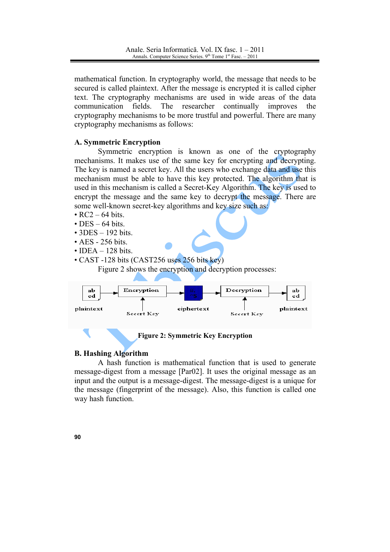mathematical function. In cryptography world, the message that needs to be secured is called plaintext. After the message is encrypted it is called cipher text. The cryptography mechanisms are used in wide areas of the data communication fields. The researcher continually improves the cryptography mechanisms to be more trustful and powerful. There are many cryptography mechanisms as follows:

#### **A. Symmetric Encryption**

Symmetric encryption is known as one of the cryptography mechanisms. It makes use of the same key for encrypting and decrypting. The key is named a secret key. All the users who exchange data and use this mechanism must be able to have this key protected. The algorithm that is used in this mechanism is called a Secret-Key Algorithm. The key is used to encrypt the message and the same key to decrypt the message. There are some well-known secret-key algorithms and key size such as:

- $\cdot$  RC2 64 bits.
- $\cdot$  DES 64 bits.
- $\cdot$  3DES 192 bits.
- $\cdot$  AES 256 bits
- $\cdot$  IDEA  $-$  128 bits.
- CAST -128 bits (CAST256 uses 256 bits key)

Figure 2 shows the encryption and decryption processes:



**Figure 2: Symmetric Key Encryption** 

#### **B. Hashing Algorithm**

A hash function is mathematical function that is used to generate message-digest from a message [Par02]. It uses the original message as an input and the output is a message-digest. The message-digest is a unique for the message (fingerprint of the message). Also, this function is called one way hash function.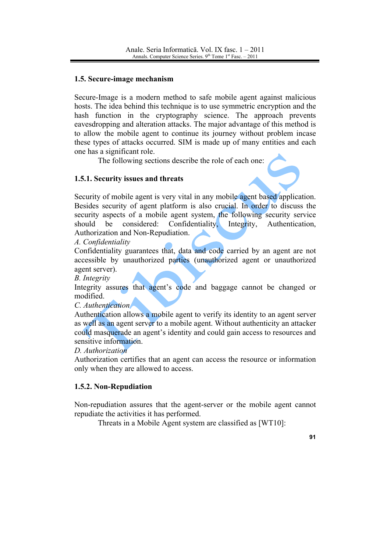## 1.5. Secure-image mechanism

Secure-Image is a modern method to safe mobile agent against malicious hosts. The idea behind this technique is to use symmetric encryption and the hash function in the cryptography science. The approach prevents eavesdropping and alteration attacks. The major advantage of this method is to allow the mobile agent to continue its journey without problem incase these types of attacks occurred. SIM is made up of many entities and each one has a significant role.

The following sections describe the role of each one:

# 1.5.1. Security issues and threats

Security of mobile agent is very vital in any mobile agent based application. Besides security of agent platform is also crucial. In order to discuss the security aspects of a mobile agent system, the following security service should be considered: Confidentiality, Integrity, Authentication, Authorization and Non-Repudiation.

A. Confidentiality

Confidentiality guarantees that, data and code carried by an agent are not accessible by unauthorized parties (unauthorized agent or unauthorized agent server).

**B.** Integrity

Integrity assures that agent's code and baggage cannot be changed or modified

C. Authentication

Authentication allows a mobile agent to verify its identity to an agent server as well as an agent server to a mobile agent. Without authenticity an attacker could masquerade an agent's identity and could gain access to resources and sensitive information.

D Authorization

Authorization certifies that an agent can access the resource or information only when they are allowed to access.

# 1.5.2. Non-Repudiation

Non-repudiation assures that the agent-server or the mobile agent cannot repudiate the activities it has performed.

Threats in a Mobile Agent system are classified as [WT10]: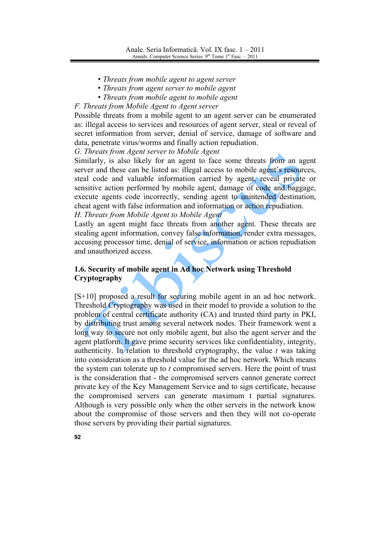- Threats from mobile agent to agent server
- Threats from agent server to mobile agent
- Threats from mobile agent to mobile agent

F. Threats from Mobile Agent to Agent server

Possible threats from a mobile agent to an agent server can be enumerated as: illegal access to services and resources of agent server, steal or reveal of secret information from server, denial of service, damage of software and data, penetrate virus/worms and finally action repudiation.

G. Threats from Agent server to Mobile Agent

 $92$ 

Similarly, is also likely for an agent to face some threats from an agent server and these can be listed as: illegal access to mobile agent's resources, steal code and valuable information carried by agent, reveal private or sensitive action performed by mobile agent, damage of code and baggage, execute agents code incorrectly, sending agent to unintended destination, cheat agent with false information and information or action repudiation. H. Threats from Mobile Agent to Mobile Agent

Lastly an agent might face threats from another agent. These threats are stealing agent information, convey false information, render extra messages, accusing processor time, denial of service, information or action repudiation and unauthorized access.

# 1.6. Security of mobile agent in Ad hoc Network using Threshold Cryptography

 $[S+10]$  proposed a result for securing mobile agent in an ad hoc network. Threshold Cryptography was used in their model to provide a solution to the problem of central certificate authority (CA) and trusted third party in PKI, by distributing trust among several network nodes. Their framework went a long way to secure not only mobile agent, but also the agent server and the agent platform. It gave prime security services like confidentiality, integrity, authenticity. In relation to threshold cryptography, the value  $t$  was taking into consideration as a threshold value for the ad hoc network. Which means the system can tolerate up to t compromised servers. Here the point of trust is the consideration that - the compromised servers cannot generate correct private key of the Key Management Service and to sign certificate, because the compromised servers can generate maximum t partial signatures. Although is very possible only when the other servers in the network know about the compromise of those servers and then they will not co-operate those servers by providing their partial signatures.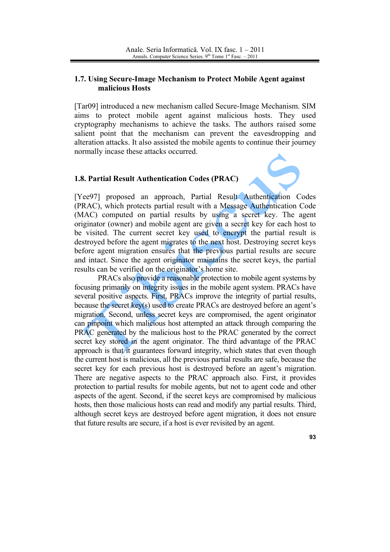## 1.7. Using Secure-Image Mechanism to Protect Mobile Agent against malicious Hosts

[Tar09] introduced a new mechanism called Secure-Image Mechanism, SIM aims to protect mobile agent against malicious hosts. They used cryptography mechanisms to achieve the tasks. The authors raised some salient point that the mechanism can prevent the eavesdropping and alteration attacks. It also assisted the mobile agents to continue their journey normally incase these attacks occurred.

## 1.8. Partial Result Authentication Codes (PRAC)

[Yee97] proposed an approach, Partial Result Authentication Codes (PRAC), which protects partial result with a Message Authentication Code (MAC) computed on partial results by using a secret key. The agent originator (owner) and mobile agent are given a secret key for each host to be visited. The current secret key used to encrypt the partial result is destroyed before the agent migrates to the next host. Destroying secret keys before agent migration ensures that the previous partial results are secure and intact. Since the agent originator maintains the secret keys, the partial results can be verified on the originator's home site.

PRACs also provide a reasonable protection to mobile agent systems by focusing primarily on integrity issues in the mobile agent system. PRACs have several positive aspects. First, PRACs improve the integrity of partial results, because the secret key(s) used to create PRACs are destroyed before an agent's migration. Second, unless secret keys are compromised, the agent originator can pinpoint which malicious host attempted an attack through comparing the PRAC generated by the malicious host to the PRAC generated by the correct secret key stored in the agent originator. The third advantage of the PRAC approach is that it guarantees forward integrity, which states that even though the current host is malicious, all the previous partial results are safe, because the secret key for each previous host is destroyed before an agent's migration. There are negative aspects to the PRAC approach also. First, it provides protection to partial results for mobile agents, but not to agent code and other aspects of the agent. Second, if the secret keys are compromised by malicious hosts, then those malicious hosts can read and modify any partial results. Third, although secret keys are destroved before agent migration, it does not ensure that future results are secure, if a host is ever revisited by an agent.

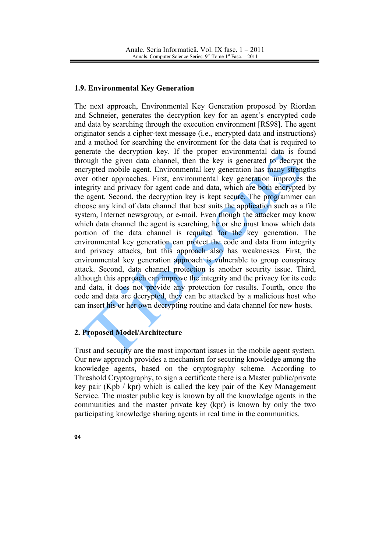#### 1.9. Environmental Key Generation

The next approach. Environmental Key Generation proposed by Riordan and Schneier, generates the decryption key for an agent's encrypted code and data by searching through the execution environment [RS98]. The agent originator sends a cipher-text message (*i.e.*, encrypted data and instructions) and a method for searching the environment for the data that is required to generate the decryption key. If the proper environmental data is found through the given data channel, then the key is generated to decrypt the encrypted mobile agent. Environmental key generation has many strengths over other approaches. First, environmental key generation improves the integrity and privacy for agent code and data, which are both encrypted by the agent. Second, the decryption key is kept secure. The programmer can choose any kind of data channel that best suits the application such as a file system, Internet newsgroup, or e-mail. Even though the attacker may know which data channel the agent is searching, he or she must know which data portion of the data channel is required for the key generation. The environmental key generation can protect the code and data from integrity and privacy attacks, but this approach also has weaknesses. First, the environmental key generation approach is vulnerable to group conspiracy attack. Second, data channel protection is another security issue. Third, although this approach can improve the integrity and the privacy for its code and data, it does not provide any protection for results. Fourth, once the code and data are decrypted, they can be attacked by a malicious host who can insert his or her own decrypting routine and data channel for new hosts.

## 2. Proposed Model/Architecture

Trust and security are the most important issues in the mobile agent system. Our new approach provides a mechanism for securing knowledge among the knowledge agents, based on the cryptography scheme. According to Threshold Cryptography, to sign a certificate there is a Master public/private key pair (Kpb / kpr) which is called the key pair of the Key Management Service. The master public key is known by all the knowledge agents in the communities and the master private key (kpr) is known by only the two participating knowledge sharing agents in real time in the communities.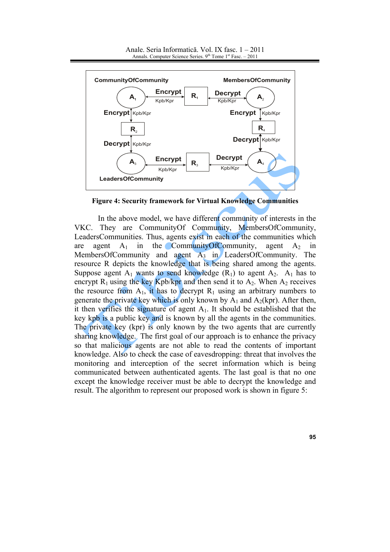

Anale. Seria Informatică. Vol. IX fasc. 1 – 2011 Annals. Computer Science Series. 9<sup>th</sup> Tome 1<sup>st</sup> Fasc. - 2011

**Figure 4: Security framework for Virtual Knowledge Communities** 

In the above model, we have different community of interests in the **VKC** They are Community Of Community, Members Of Community, LeadersCommunities. Thus, agents exist in each of the communities which agent  $A_1$ in the CommunityOfCommunity, agent  $A_2$ are  $in$ MembersOfCommunity and agent A<sub>3</sub> in LeadersOfCommunity. The resource R depicts the knowledge that is being shared among the agents. Suppose agent  $A_1$  wants to send knowledge  $(R_1)$  to agent  $A_2$ .  $A_1$  has to encrypt  $R_1$  using the key Kpb/kpr and then send it to  $A_2$ . When  $A_2$  receives the resource from  $A_1$ , it has to decrypt  $R_1$  using an arbitrary numbers to generate the private key which is only known by  $A_1$  and  $A_2(kpr)$ . After then, it then verifies the signature of agent  $A_1$ . It should be established that the key kpb is a public key and is known by all the agents in the communities. The private key (kpr) is only known by the two agents that are currently sharing knowledge. The first goal of our approach is to enhance the privacy so that malicious agents are not able to read the contents of important knowledge. Also to check the case of eavesdropping: threat that involves the monitoring and interception of the secret information which is being communicated between authenticated agents. The last goal is that no one except the knowledge receiver must be able to decrypt the knowledge and result. The algorithm to represent our proposed work is shown in figure 5: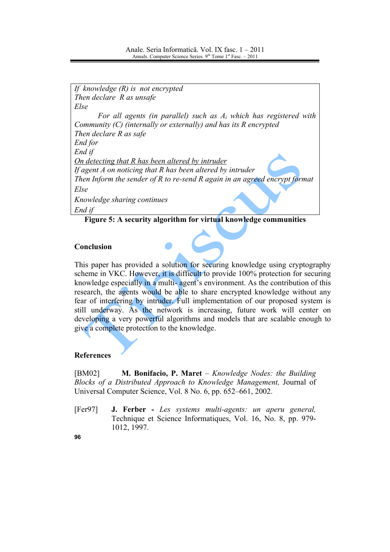If knowledge  $(R)$  is not encrypted Then declare R as unsafe Else For all agents (in parallel) such as  $A_i$  which has registered with Community  $(C)$  (internally or externally) and has its  $R$  encrypted Then declare R as safe End for End if On detecting that R has been altered by intruder If agent  $A$  on noticing that  $R$  has been altered by intruder Then Inform the sender of  $R$  to re-send  $R$  again in an agreed encrypt format Else Knowledge sharing continues End if

Figure 5: A security algorithm for virtual knowledge communities

# **Conclusion**

This paper has provided a solution for securing knowledge using cryptography scheme in VKC. However, it is difficult to provide 100% protection for securing knowledge especially in a multi-agent's environment. As the contribution of this research, the agents would be able to share encrypted knowledge without any fear of interfering by intruder. Full implementation of our proposed system is still underway. As the network is increasing, future work will center on developing a very powerful algorithms and models that are scalable enough to give a complete protection to the knowledge.

# **References**

 $[BM02]$ **M. Bonifacio, P. Maret** – *Knowledge Nodes: the Building* Blocks of a Distributed Approach to Knowledge Management, Journal of Universal Computer Science, Vol. 8 No. 6, pp. 652–661, 2002.

J. Ferber - Les systems multi-agents: un aperu general,  $[Fer97]$ Technique et Science Informatiques, Vol. 16, No. 8, pp. 979-1012, 1997.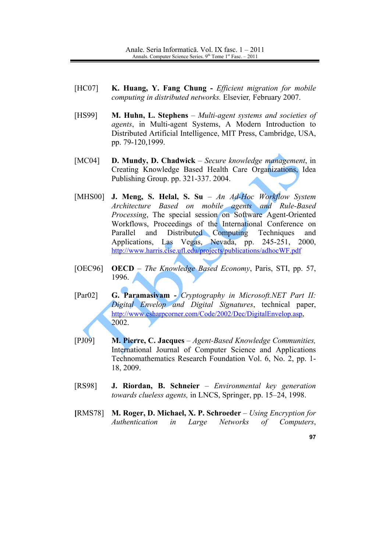- $[HC07]$ K. Huang, Y. Fang Chung - *Efficient migration for mobile* computing in distributed networks. Elsevier, February 2007.
- [HS99] **M. Huhn, L. Stephens** – Multi-agent systems and societies of agents, in Multi-agent Systems, A Modern Introduction to Distributed Artificial Intelligence, MIT Press, Cambridge, USA, pp. 79-120,1999.
- $[MC04]$ D. Mundy, D. Chadwick - Secure knowledge management, in Creating Knowledge Based Health Care Organizations, Idea Publishing Group. pp. 321-337. 2004.
- [MHS00] J. Meng, S. Helal, S. Su An Ad-Hoc Workflow System Architecture Based on mobile agents and Rule-Based *Processing*, The special session on Software Agent-Oriented Workflows, Proceedings of the International Conference on Distributed Computing Parallel and Techniques and Applications, Las Vegas, Nevada, pp. 245-251, 2000. http://www.harris.cise.ufl.edu/projects/publications/adhocWF.pdf
- $[OEC96]$ **OECD** - The Knowledge Based Economy, Paris, STI, pp. 57, 1996.
- $[Par02]$ G. Paramasivam - Cryptography in Microsoft.NET Part II: Digital Envelop and Digital Signatures, technical paper, http://www.csharpcorner.com/Code/2002/Dec/DigitalEnvelop.asp. 2002.
- $[PJ09]$ M. Pierre, C. Jacques - Agent-Based Knowledge Communities, International Journal of Computer Science and Applications Technomathematics Research Foundation Vol. 6, No. 2, pp. 1-18, 2009.
- **FRS981** J. Riordan, B. Schneier - Environmental key generation *towards clueless agents, in LNCS, Springer, pp. 15–24, 1998.*
- M. Roger, D. Michael, X. P. Schroeder Using Encryption for [RMS78] Authentication  $in$ Large Networks  $of$ Computers,